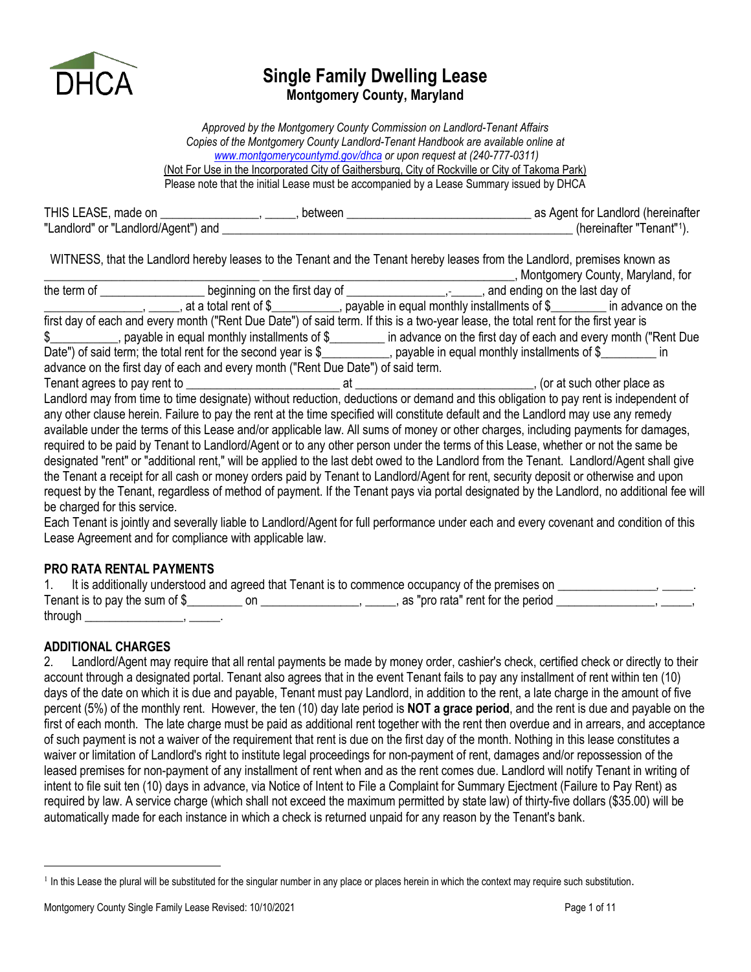

# **Single Family Dwelling Lease Montgomery County, Maryland**

*Approved by the Montgomery County Commission on Landlord-Tenant Affairs Copies of the Montgomery County Landlord-Tenant Handbook are available online at [www.montgomerycountymd.gov/dhca](http://www.montgomerycountymd.gov/dhca) or upon request at (240-777-0311)* (Not For Use in the Incorporated City of Gaithersburg, City of Rockville or City of Takoma Park) Please note that the initial Lease must be accompanied by a Lease Summary issued by DHCA

| THIS LEASE, made on                 | between | as Agent for Landlord (hereinafter    |
|-------------------------------------|---------|---------------------------------------|
| "Landlord" or "Landlord/Agent") and |         | (hereinafter "Tenant" <sup>1</sup> ). |

WITNESS, that the Landlord hereby leases to the Tenant and the Tenant hereby leases from the Landlord, premises known as \_\_\_\_\_\_\_\_\_\_\_\_\_\_\_\_\_\_\_\_\_\_\_\_\_\_\_\_\_\_\_\_\_\_\_ \_\_\_\_\_\_\_\_\_\_\_\_\_\_\_\_\_\_\_\_\_\_\_\_\_\_\_\_\_\_\_\_\_\_\_\_\_\_\_\_\_, Montgomery County, Maryland, for

|                              | at a total rent of \$_______________, payable in equal monthly installments of \$__________ in advance on the                            |  |  |
|------------------------------|------------------------------------------------------------------------------------------------------------------------------------------|--|--|
|                              | first day of each and every month ("Rent Due Date") of said term. If this is a two-year lease, the total rent for the first year is      |  |  |
|                              | \$_____________, payable in equal monthly installments of \$_________ in advance on the first day of each and every month ("Rent Due     |  |  |
|                              | Date") of said term; the total rent for the second year is \$___________, payable in equal monthly installments of \$________ in         |  |  |
|                              | advance on the first day of each and every month ("Rent Due Date") of said term.                                                         |  |  |
|                              |                                                                                                                                          |  |  |
|                              | Landlord may from time to time designate) without reduction, deductions or demand and this obligation to pay rent is independent of      |  |  |
|                              | any other clause herein. Failure to pay the rent at the time specified will constitute default and the Landlord may use any remedy       |  |  |
|                              | available under the terms of this Lease and/or applicable law. All sums of money or other charges, including payments for damages,       |  |  |
|                              | required to be paid by Tenant to Landlord/Agent or to any other person under the terms of this Lease, whether or not the same be         |  |  |
|                              | designated "rent" or "additional rent," will be applied to the last debt owed to the Landlord from the Tenant. Landlord/Agent shall give |  |  |
|                              | the Tenant a receipt for all cash or money orders paid by Tenant to Landlord/Agent for rent, security deposit or otherwise and upon      |  |  |
|                              | request by the Tenant, regardless of method of payment. If the Tenant pays via portal designated by the Landlord, no additional fee will |  |  |
| be charged for this service. |                                                                                                                                          |  |  |
|                              |                                                                                                                                          |  |  |

Each Tenant is jointly and severally liable to Landlord/Agent for full performance under each and every covenant and condition of this Lease Agreement and for compliance with applicable law.

# **PRO RATA RENTAL PAYMENTS**

|         |                                  | It is additionally understood and agreed that Tenant is to commence occupancy of the premises on |  |
|---------|----------------------------------|--------------------------------------------------------------------------------------------------|--|
|         | Tenant is to pay the sum of $\S$ | , as "pro rata" rent for the period                                                              |  |
| through |                                  |                                                                                                  |  |

# **ADDITIONAL CHARGES**

2. Landlord/Agent may require that all rental payments be made by money order, cashier's check, certified check or directly to their account through a designated portal. Tenant also agrees that in the event Tenant fails to pay any installment of rent within ten (10) days of the date on which it is due and payable, Tenant must pay Landlord, in addition to the rent, a late charge in the amount of five percent (5%) of the monthly rent. However, the ten (10) day late period is **NOT a grace period**, and the rent is due and payable on the first of each month. The late charge must be paid as additional rent together with the rent then overdue and in arrears, and acceptance of such payment is not a waiver of the requirement that rent is due on the first day of the month. Nothing in this lease constitutes a waiver or limitation of Landlord's right to institute legal proceedings for non-payment of rent, damages and/or repossession of the leased premises for non-payment of any installment of rent when and as the rent comes due. Landlord will notify Tenant in writing of intent to file suit ten (10) days in advance, via Notice of Intent to File a Complaint for Summary Ejectment (Failure to Pay Rent) as required by law. A service charge (which shall not exceed the maximum permitted by state law) of thirty-five dollars (\$35.00) will be automatically made for each instance in which a check is returned unpaid for any reason by the Tenant's bank.

<span id="page-0-0"></span><sup>&</sup>lt;sup>1</sup> In this Lease the plural will be substituted for the singular number in any place or places herein in which the context may require such substitution.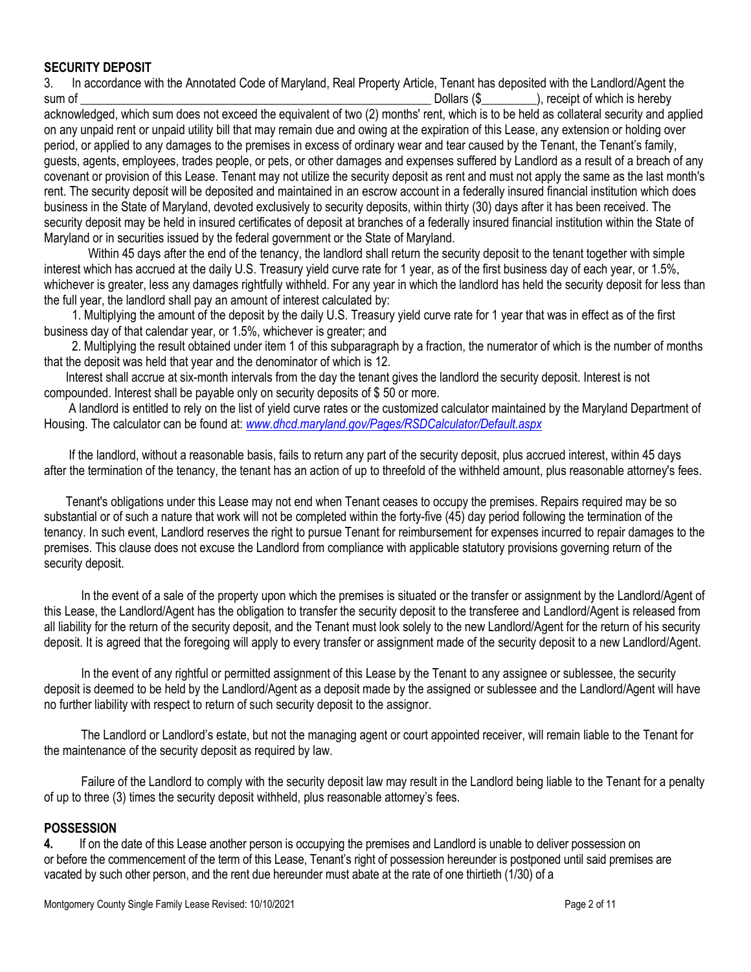# **SECURITY DEPOSIT**

3. In accordance with the Annotated Code of Maryland, Real Property Article, Tenant has deposited with the Landlord/Agent the sum of **and the sum of the sum of the sum of the sum of the sum of the sum of the sum of the sum of the sum of the sum of the sum of the sum of the sum of the sum of the sum of the sum of the sum of the sum of the sum of t** 

acknowledged, which sum does not exceed the equivalent of two (2) months' rent, which is to be held as collateral security and applied on any unpaid rent or unpaid utility bill that may remain due and owing at the expiration of this Lease, any extension or holding over period, or applied to any damages to the premises in excess of ordinary wear and tear caused by the Tenant, the Tenant's family, guests, agents, employees, trades people, or pets, or other damages and expenses suffered by Landlord as a result of a breach of any covenant or provision of this Lease. Tenant may not utilize the security deposit as rent and must not apply the same as the last month's rent. The security deposit will be deposited and maintained in an escrow account in a federally insured financial institution which does business in the State of Maryland, devoted exclusively to security deposits, within thirty (30) days after it has been received. The security deposit may be held in insured certificates of deposit at branches of a federally insured financial institution within the State of Maryland or in securities issued by the federal government or the State of Maryland.

Within 45 days after the end of the tenancy, the landlord shall return the security deposit to the tenant together with simple interest which has accrued at the daily U.S. Treasury yield curve rate for 1 year, as of the first business day of each year, or 1.5%, whichever is greater, less any damages rightfully withheld. For any year in which the landlord has held the security deposit for less than the full year, the landlord shall pay an amount of interest calculated by:

 1. Multiplying the amount of the deposit by the daily U.S. Treasury yield curve rate for 1 year that was in effect as of the first business day of that calendar year, or 1.5%, whichever is greater; and

 2. Multiplying the result obtained under item 1 of this subparagraph by a fraction, the numerator of which is the number of months that the deposit was held that year and the denominator of which is 12.

 Interest shall accrue at six-month intervals from the day the tenant gives the landlord the security deposit. Interest is not compounded. Interest shall be payable only on security deposits of \$ 50 or more.

 A landlord is entitled to rely on the list of yield curve rates or the customized calculator maintained by the Maryland Department of Housing. The calculator can be found at: *[www.dhcd.maryland.gov/Pages/RSDCalculator/Default.aspx](http://www.dhcd.maryland.gov/Pages/RSDCalculator/Default.aspx)*

 If the landlord, without a reasonable basis, fails to return any part of the security deposit, plus accrued interest, within 45 days after the termination of the tenancy, the tenant has an action of up to threefold of the withheld amount, plus reasonable attorney's fees.

 Tenant's obligations under this Lease may not end when Tenant ceases to occupy the premises. Repairs required may be so substantial or of such a nature that work will not be completed within the forty-five (45) day period following the termination of the tenancy. In such event, Landlord reserves the right to pursue Tenant for reimbursement for expenses incurred to repair damages to the premises. This clause does not excuse the Landlord from compliance with applicable statutory provisions governing return of the security deposit.

 In the event of a sale of the property upon which the premises is situated or the transfer or assignment by the Landlord/Agent of this Lease, the Landlord/Agent has the obligation to transfer the security deposit to the transferee and Landlord/Agent is released from all liability for the return of the security deposit, and the Tenant must look solely to the new Landlord/Agent for the return of his security deposit. It is agreed that the foregoing will apply to every transfer or assignment made of the security deposit to a new Landlord/Agent.

 In the event of any rightful or permitted assignment of this Lease by the Tenant to any assignee or sublessee, the security deposit is deemed to be held by the Landlord/Agent as a deposit made by the assigned or sublessee and the Landlord/Agent will have no further liability with respect to return of such security deposit to the assignor.

 The Landlord or Landlord's estate, but not the managing agent or court appointed receiver, will remain liable to the Tenant for the maintenance of the security deposit as required by law.

 Failure of the Landlord to comply with the security deposit law may result in the Landlord being liable to the Tenant for a penalty of up to three (3) times the security deposit withheld, plus reasonable attorney's fees.

#### **POSSESSION**

**4.** If on the date of this Lease another person is occupying the premises and Landlord is unable to deliver possession on or before the commencement of the term of this Lease, Tenant's right of possession hereunder is postponed until said premises are vacated by such other person, and the rent due hereunder must abate at the rate of one thirtieth (1/30) of a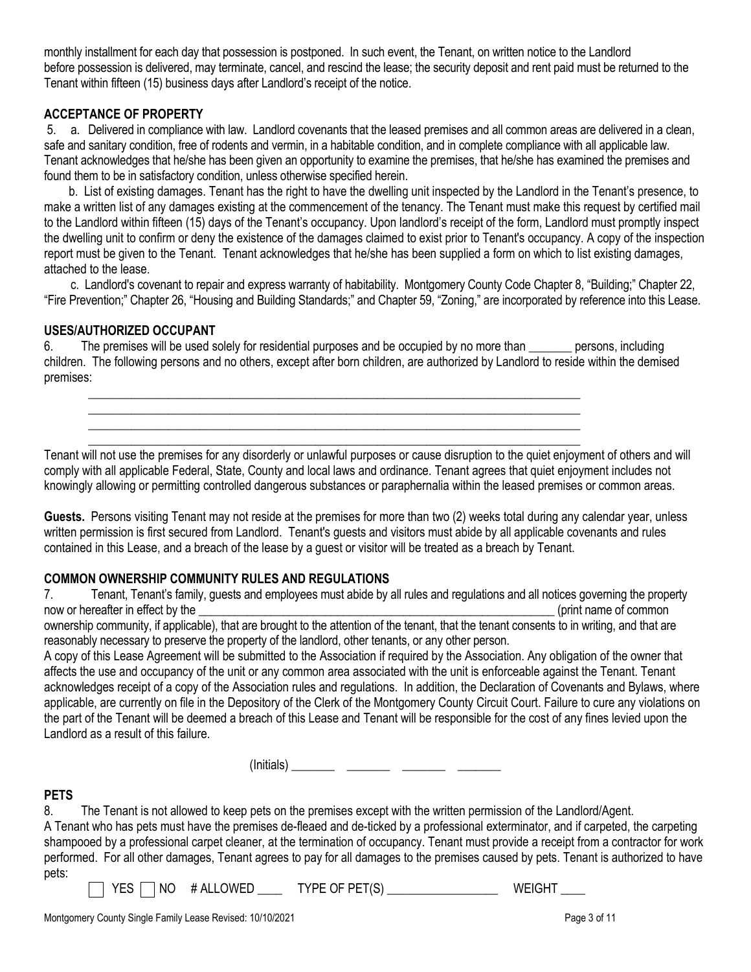monthly installment for each day that possession is postponed. In such event, the Tenant, on written notice to the Landlord before possession is delivered, may terminate, cancel, and rescind the lease; the security deposit and rent paid must be returned to the Tenant within fifteen (15) business days after Landlord's receipt of the notice.

### **ACCEPTANCE OF PROPERTY**

5. a. Delivered in compliance with law. Landlord covenants that the leased premises and all common areas are delivered in a clean, safe and sanitary condition, free of rodents and vermin, in a habitable condition, and in complete compliance with all applicable law. Tenant acknowledges that he/she has been given an opportunity to examine the premises, that he/she has examined the premises and found them to be in satisfactory condition, unless otherwise specified herein.

 b. List of existing damages. Tenant has the right to have the dwelling unit inspected by the Landlord in the Tenant's presence, to make a written list of any damages existing at the commencement of the tenancy. The Tenant must make this request by certified mail to the Landlord within fifteen (15) days of the Tenant's occupancy. Upon landlord's receipt of the form, Landlord must promptly inspect the dwelling unit to confirm or deny the existence of the damages claimed to exist prior to Tenant's occupancy. A copy of the inspection report must be given to the Tenant. Tenant acknowledges that he/she has been supplied a form on which to list existing damages, attached to the lease.

 c. Landlord's covenant to repair and express warranty of habitability. Montgomery County Code Chapter 8, "Building;" Chapter 22, "Fire Prevention;" Chapter 26, "Housing and Building Standards;" and Chapter 59, "Zoning," are incorporated by reference into this Lease.

#### **USES/AUTHORIZED OCCUPANT**

6. The premises will be used solely for residential purposes and be occupied by no more than **\_\_\_\_\_\_\_** persons, including children. The following persons and no others, except after born children, are authorized by Landlord to reside within the demised premises:

**\_\_\_\_\_\_\_\_\_\_\_\_\_\_\_\_\_\_\_\_\_\_\_\_\_\_\_\_\_\_\_\_\_\_\_\_\_\_\_\_\_\_\_\_\_\_\_\_\_\_\_\_\_\_\_\_\_\_\_\_\_\_\_\_\_\_\_\_\_\_\_\_\_\_\_\_\_\_\_\_ \_\_\_\_\_\_\_\_\_\_\_\_\_\_\_\_\_\_\_\_\_\_\_\_\_\_\_\_\_\_\_\_\_\_\_\_\_\_\_\_\_\_\_\_\_\_\_\_\_\_\_\_\_\_\_\_\_\_\_\_\_\_\_\_\_\_\_\_\_\_\_\_\_\_\_\_\_\_\_\_ \_\_\_\_\_\_\_\_\_\_\_\_\_\_\_\_\_\_\_\_\_\_\_\_\_\_\_\_\_\_\_\_\_\_\_\_\_\_\_\_\_\_\_\_\_\_\_\_\_\_\_\_\_\_\_\_\_\_\_\_\_\_\_\_\_\_\_\_\_\_\_\_\_\_\_\_\_\_\_\_ \_\_\_\_\_\_\_\_\_\_\_\_\_\_\_\_\_\_\_\_\_\_\_\_\_\_\_\_\_\_\_\_\_\_\_\_\_\_\_\_\_\_\_\_\_\_\_\_\_\_\_\_\_\_\_\_\_\_\_\_\_\_\_\_\_\_\_\_\_\_\_\_\_\_\_\_\_\_\_\_**

Tenant will not use the premises for any disorderly or unlawful purposes or cause disruption to the quiet enjoyment of others and will comply with all applicable Federal, State, County and local laws and ordinance. Tenant agrees that quiet enjoyment includes not knowingly allowing or permitting controlled dangerous substances or paraphernalia within the leased premises or common areas.

**Guests.** Persons visiting Tenant may not reside at the premises for more than two (2) weeks total during any calendar year, unless written permission is first secured from Landlord. Tenant's guests and visitors must abide by all applicable covenants and rules contained in this Lease, and a breach of the lease by a guest or visitor will be treated as a breach by Tenant.

# **COMMON OWNERSHIP COMMUNITY RULES AND REGULATIONS**

7. Tenant, Tenant's family, guests and employees must abide by all rules and regulations and all notices governing the property now or hereafter in effect by the \_\_\_\_\_\_\_\_\_\_\_\_\_\_\_\_\_\_\_\_\_\_\_\_\_\_\_\_\_\_\_\_\_\_\_\_\_\_\_\_\_\_\_\_\_\_\_\_\_\_\_\_\_\_\_\_\_\_\_ (print name of common ownership community, if applicable), that are brought to the attention of the tenant, that the tenant consents to in writing, and that are reasonably necessary to preserve the property of the landlord, other tenants, or any other person.

A copy of this Lease Agreement will be submitted to the Association if required by the Association. Any obligation of the owner that affects the use and occupancy of the unit or any common area associated with the unit is enforceable against the Tenant. Tenant acknowledges receipt of a copy of the Association rules and regulations. In addition, the Declaration of Covenants and Bylaws, where applicable, are currently on file in the Depository of the Clerk of the Montgomery County Circuit Court. Failure to cure any violations on the part of the Tenant will be deemed a breach of this Lease and Tenant will be responsible for the cost of any fines levied upon the Landlord as a result of this failure.

(Initials) **\_\_\_\_\_\_\_ \_\_\_\_\_\_\_ \_\_\_\_\_\_\_ \_\_\_\_\_\_\_**

#### **PETS**

8. The Tenant is not allowed to keep pets on the premises except with the written permission of the Landlord/Agent. A Tenant who has pets must have the premises de-fleaed and de-ticked by a professional exterminator, and if carpeted, the carpeting shampooed by a professional carpet cleaner, at the termination of occupancy. Tenant must provide a receipt from a contractor for work performed. For all other damages, Tenant agrees to pay for all damages to the premises caused by pets. Tenant is authorized to have pets:

YES NO # ALLOWED **\_\_\_\_** TYPE OF PET(S) **\_\_\_\_\_\_\_\_\_\_\_\_\_\_\_\_\_\_** WEIGHT **\_\_\_\_**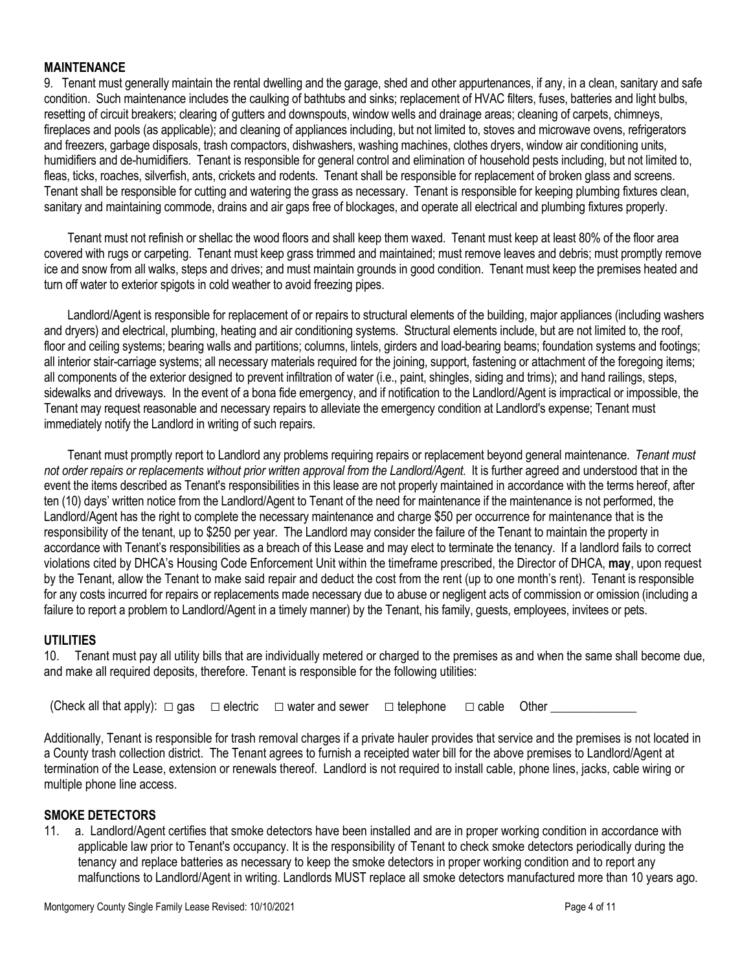# **MAINTENANCE**

9. Tenant must generally maintain the rental dwelling and the garage, shed and other appurtenances, if any, in a clean, sanitary and safe condition. Such maintenance includes the caulking of bathtubs and sinks; replacement of HVAC filters, fuses, batteries and light bulbs, resetting of circuit breakers; clearing of gutters and downspouts, window wells and drainage areas; cleaning of carpets, chimneys, fireplaces and pools (as applicable); and cleaning of appliances including, but not limited to, stoves and microwave ovens, refrigerators and freezers, garbage disposals, trash compactors, dishwashers, washing machines, clothes dryers, window air conditioning units, humidifiers and de-humidifiers. Tenant is responsible for general control and elimination of household pests including, but not limited to, fleas, ticks, roaches, silverfish, ants, crickets and rodents. Tenant shall be responsible for replacement of broken glass and screens. Tenant shall be responsible for cutting and watering the grass as necessary. Tenant is responsible for keeping plumbing fixtures clean, sanitary and maintaining commode, drains and air gaps free of blockages, and operate all electrical and plumbing fixtures properly.

 Tenant must not refinish or shellac the wood floors and shall keep them waxed. Tenant must keep at least 80% of the floor area covered with rugs or carpeting. Tenant must keep grass trimmed and maintained; must remove leaves and debris; must promptly remove ice and snow from all walks, steps and drives; and must maintain grounds in good condition. Tenant must keep the premises heated and turn off water to exterior spigots in cold weather to avoid freezing pipes.

 Landlord/Agent is responsible for replacement of or repairs to structural elements of the building, major appliances (including washers and dryers) and electrical, plumbing, heating and air conditioning systems. Structural elements include, but are not limited to, the roof, floor and ceiling systems; bearing walls and partitions; columns, lintels, girders and load-bearing beams; foundation systems and footings; all interior stair-carriage systems; all necessary materials required for the joining, support, fastening or attachment of the foregoing items; all components of the exterior designed to prevent infiltration of water (i.e., paint, shingles, siding and trims); and hand railings, steps, sidewalks and driveways. In the event of a bona fide emergency, and if notification to the Landlord/Agent is impractical or impossible, the Tenant may request reasonable and necessary repairs to alleviate the emergency condition at Landlord's expense; Tenant must immediately notify the Landlord in writing of such repairs.

 Tenant must promptly report to Landlord any problems requiring repairs or replacement beyond general maintenance. *Tenant must not order repairs or replacements without prior written approval from the Landlord/Agent.* It is further agreed and understood that in the event the items described as Tenant's responsibilities in this lease are not properly maintained in accordance with the terms hereof, after ten (10) days' written notice from the Landlord/Agent to Tenant of the need for maintenance if the maintenance is not performed, the Landlord/Agent has the right to complete the necessary maintenance and charge \$50 per occurrence for maintenance that is the responsibility of the tenant, up to \$250 per year. The Landlord may consider the failure of the Tenant to maintain the property in accordance with Tenant's responsibilities as a breach of this Lease and may elect to terminate the tenancy. If a landlord fails to correct violations cited by DHCA's Housing Code Enforcement Unit within the timeframe prescribed, the Director of DHCA, **may**, upon request by the Tenant, allow the Tenant to make said repair and deduct the cost from the rent (up to one month's rent). Tenant is responsible for any costs incurred for repairs or replacements made necessary due to abuse or negligent acts of commission or omission (including a failure to report a problem to Landlord/Agent in a timely manner) by the Tenant, his family, guests, employees, invitees or pets.

#### **UTILITIES**

10. Tenant must pay all utility bills that are individually metered or charged to the premises as and when the same shall become due, and make all required deposits, therefore. Tenant is responsible for the following utilities:

(Check all that apply):  $\Box$  gas  $\Box$  electric  $\Box$  water and sewer  $\Box$  telephone  $\Box$  cable Other

Additionally, Tenant is responsible for trash removal charges if a private hauler provides that service and the premises is not located in a County trash collection district. The Tenant agrees to furnish a receipted water bill for the above premises to Landlord/Agent at termination of the Lease, extension or renewals thereof. Landlord is not required to install cable, phone lines, jacks, cable wiring or multiple phone line access.

#### **SMOKE DETECTORS**

11. a. Landlord/Agent certifies that smoke detectors have been installed and are in proper working condition in accordance with applicable law prior to Tenant's occupancy. It is the responsibility of Tenant to check smoke detectors periodically during the tenancy and replace batteries as necessary to keep the smoke detectors in proper working condition and to report any malfunctions to Landlord/Agent in writing. Landlords MUST replace all smoke detectors manufactured more than 10 years ago.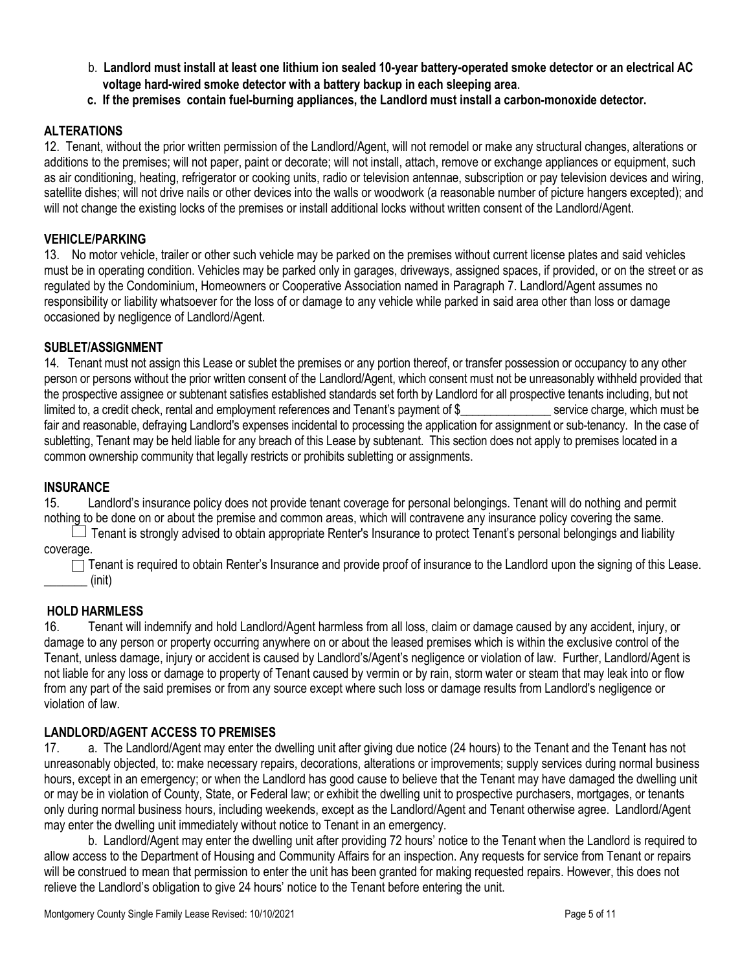- b. **Landlord must install at least one lithium ion sealed 10-year battery-operated smoke detector or an electrical AC voltage hard-wired smoke detector with a battery backup in each sleeping area**.
- **c. If the premises contain fuel-burning appliances, the Landlord must install a carbon-monoxide detector.**

## **ALTERATIONS**

12. Tenant, without the prior written permission of the Landlord/Agent, will not remodel or make any structural changes, alterations or additions to the premises; will not paper, paint or decorate; will not install, attach, remove or exchange appliances or equipment, such as air conditioning, heating, refrigerator or cooking units, radio or television antennae, subscription or pay television devices and wiring, satellite dishes; will not drive nails or other devices into the walls or woodwork (a reasonable number of picture hangers excepted); and will not change the existing locks of the premises or install additional locks without written consent of the Landlord/Agent.

#### **VEHICLE/PARKING**

13. No motor vehicle, trailer or other such vehicle may be parked on the premises without current license plates and said vehicles must be in operating condition. Vehicles may be parked only in garages, driveways, assigned spaces, if provided, or on the street or as regulated by the Condominium, Homeowners or Cooperative Association named in Paragraph 7. Landlord/Agent assumes no responsibility or liability whatsoever for the loss of or damage to any vehicle while parked in said area other than loss or damage occasioned by negligence of Landlord/Agent.

#### **SUBLET/ASSIGNMENT**

14. Tenant must not assign this Lease or sublet the premises or any portion thereof, or transfer possession or occupancy to any other person or persons without the prior written consent of the Landlord/Agent, which consent must not be unreasonably withheld provided that the prospective assignee or subtenant satisfies established standards set forth by Landlord for all prospective tenants including, but not limited to, a credit check, rental and employment references and Tenant's payment of \$ service charge, which must be fair and reasonable, defraying Landlord's expenses incidental to processing the application for assignment or sub-tenancy. In the case of subletting, Tenant may be held liable for any breach of this Lease by subtenant. This section does not apply to premises located in a common ownership community that legally restricts or prohibits subletting or assignments.

#### **INSURANCE**

15. Landlord's insurance policy does not provide tenant coverage for personal belongings. Tenant will do nothing and permit nothing to be done on or about the premise and common areas, which will contravene any insurance policy covering the same.

 $\Box$  Tenant is strongly advised to obtain appropriate Renter's Insurance to protect Tenant's personal belongings and liability coverage.

 $\Box$  Tenant is required to obtain Renter's Insurance and provide proof of insurance to the Landlord upon the signing of this Lease. (init)

#### **HOLD HARMLESS**

16. Tenant will indemnify and hold Landlord/Agent harmless from all loss, claim or damage caused by any accident, injury, or damage to any person or property occurring anywhere on or about the leased premises which is within the exclusive control of the Tenant, unless damage, injury or accident is caused by Landlord's/Agent's negligence or violation of law. Further, Landlord/Agent is not liable for any loss or damage to property of Tenant caused by vermin or by rain, storm water or steam that may leak into or flow from any part of the said premises or from any source except where such loss or damage results from Landlord's negligence or violation of law.

#### **LANDLORD/AGENT ACCESS TO PREMISES**

17. a. The Landlord/Agent may enter the dwelling unit after giving due notice (24 hours) to the Tenant and the Tenant has not unreasonably objected, to: make necessary repairs, decorations, alterations or improvements; supply services during normal business hours, except in an emergency; or when the Landlord has good cause to believe that the Tenant may have damaged the dwelling unit or may be in violation of County, State, or Federal law; or exhibit the dwelling unit to prospective purchasers, mortgages, or tenants only during normal business hours, including weekends, except as the Landlord/Agent and Tenant otherwise agree. Landlord/Agent may enter the dwelling unit immediately without notice to Tenant in an emergency.

b. Landlord/Agent may enter the dwelling unit after providing 72 hours' notice to the Tenant when the Landlord is required to allow access to the Department of Housing and Community Affairs for an inspection. Any requests for service from Tenant or repairs will be construed to mean that permission to enter the unit has been granted for making requested repairs. However, this does not relieve the Landlord's obligation to give 24 hours' notice to the Tenant before entering the unit.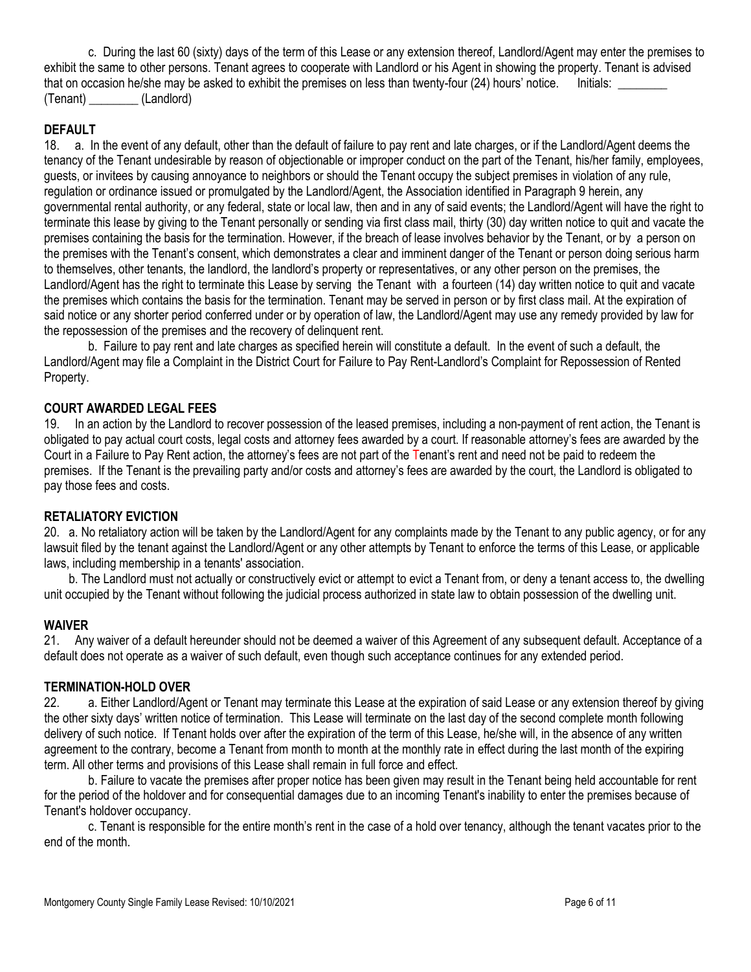c. During the last 60 (sixty) days of the term of this Lease or any extension thereof, Landlord/Agent may enter the premises to exhibit the same to other persons. Tenant agrees to cooperate with Landlord or his Agent in showing the property. Tenant is advised that on occasion he/she may be asked to exhibit the premises on less than twenty-four (24) hours' notice. Initials: (Tenant) \_\_\_\_\_\_\_\_ (Landlord)

# **DEFAULT**

18. a. In the event of any default, other than the default of failure to pay rent and late charges, or if the Landlord/Agent deems the tenancy of the Tenant undesirable by reason of objectionable or improper conduct on the part of the Tenant, his/her family, employees, guests, or invitees by causing annoyance to neighbors or should the Tenant occupy the subject premises in violation of any rule, regulation or ordinance issued or promulgated by the Landlord/Agent, the Association identified in Paragraph 9 herein, any governmental rental authority, or any federal, state or local law, then and in any of said events; the Landlord/Agent will have the right to terminate this lease by giving to the Tenant personally or sending via first class mail, thirty (30) day written notice to quit and vacate the premises containing the basis for the termination. However, if the breach of lease involves behavior by the Tenant, or by a person on the premises with the Tenant's consent, which demonstrates a clear and imminent danger of the Tenant or person doing serious harm to themselves, other tenants, the landlord, the landlord's property or representatives, or any other person on the premises, the Landlord/Agent has the right to terminate this Lease by serving the Tenant with a fourteen (14) day written notice to quit and vacate the premises which contains the basis for the termination. Tenant may be served in person or by first class mail. At the expiration of said notice or any shorter period conferred under or by operation of law, the Landlord/Agent may use any remedy provided by law for the repossession of the premises and the recovery of delinquent rent.

b. Failure to pay rent and late charges as specified herein will constitute a default. In the event of such a default, the Landlord/Agent may file a Complaint in the District Court for Failure to Pay Rent-Landlord's Complaint for Repossession of Rented Property.

#### **COURT AWARDED LEGAL FEES**

19. In an action by the Landlord to recover possession of the leased premises, including a non-payment of rent action, the Tenant is obligated to pay actual court costs, legal costs and attorney fees awarded by a court. If reasonable attorney's fees are awarded by the Court in a Failure to Pay Rent action, the attorney's fees are not part of the Tenant's rent and need not be paid to redeem the premises. If the Tenant is the prevailing party and/or costs and attorney's fees are awarded by the court, the Landlord is obligated to pay those fees and costs.

#### **RETALIATORY EVICTION**

20. a. No retaliatory action will be taken by the Landlord/Agent for any complaints made by the Tenant to any public agency, or for any lawsuit filed by the tenant against the Landlord/Agent or any other attempts by Tenant to enforce the terms of this Lease, or applicable laws, including membership in a tenants' association.

 b. The Landlord must not actually or constructively evict or attempt to evict a Tenant from, or deny a tenant access to, the dwelling unit occupied by the Tenant without following the judicial process authorized in state law to obtain possession of the dwelling unit.

#### **WAIVER**

21. Any waiver of a default hereunder should not be deemed a waiver of this Agreement of any subsequent default. Acceptance of a default does not operate as a waiver of such default, even though such acceptance continues for any extended period.

#### **TERMINATION-HOLD OVER**

22. a. Either Landlord/Agent or Tenant may terminate this Lease at the expiration of said Lease or any extension thereof by giving the other sixty days' written notice of termination. This Lease will terminate on the last day of the second complete month following delivery of such notice. If Tenant holds over after the expiration of the term of this Lease, he/she will, in the absence of any written agreement to the contrary, become a Tenant from month to month at the monthly rate in effect during the last month of the expiring term. All other terms and provisions of this Lease shall remain in full force and effect.

b. Failure to vacate the premises after proper notice has been given may result in the Tenant being held accountable for rent for the period of the holdover and for consequential damages due to an incoming Tenant's inability to enter the premises because of Tenant's holdover occupancy.

c. Tenant is responsible for the entire month's rent in the case of a hold over tenancy, although the tenant vacates prior to the end of the month.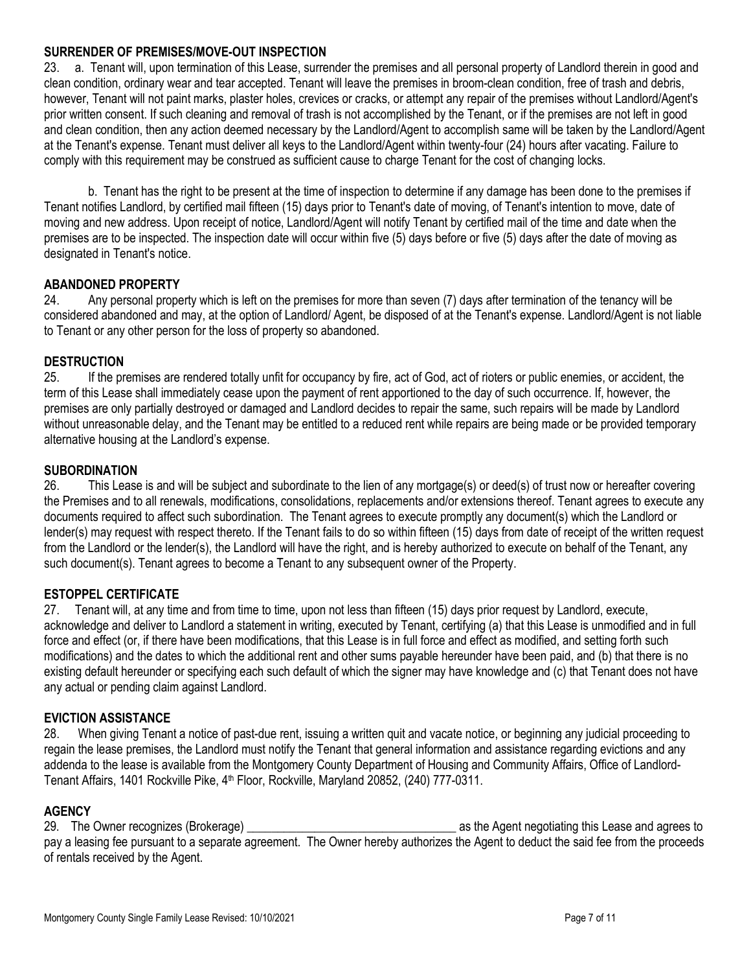#### **SURRENDER OF PREMISES/MOVE-OUT INSPECTION**

23. a. Tenant will, upon termination of this Lease, surrender the premises and all personal property of Landlord therein in good and clean condition, ordinary wear and tear accepted. Tenant will leave the premises in broom-clean condition, free of trash and debris, however, Tenant will not paint marks, plaster holes, crevices or cracks, or attempt any repair of the premises without Landlord/Agent's prior written consent. If such cleaning and removal of trash is not accomplished by the Tenant, or if the premises are not left in good and clean condition, then any action deemed necessary by the Landlord/Agent to accomplish same will be taken by the Landlord/Agent at the Tenant's expense. Tenant must deliver all keys to the Landlord/Agent within twenty-four (24) hours after vacating. Failure to comply with this requirement may be construed as sufficient cause to charge Tenant for the cost of changing locks.

b. Tenant has the right to be present at the time of inspection to determine if any damage has been done to the premises if Tenant notifies Landlord, by certified mail fifteen (15) days prior to Tenant's date of moving, of Tenant's intention to move, date of moving and new address. Upon receipt of notice, Landlord/Agent will notify Tenant by certified mail of the time and date when the premises are to be inspected. The inspection date will occur within five (5) days before or five (5) days after the date of moving as designated in Tenant's notice.

#### **ABANDONED PROPERTY**

24. Any personal property which is left on the premises for more than seven (7) days after termination of the tenancy will be considered abandoned and may, at the option of Landlord/ Agent, be disposed of at the Tenant's expense. Landlord/Agent is not liable to Tenant or any other person for the loss of property so abandoned.

#### **DESTRUCTION**

25. If the premises are rendered totally unfit for occupancy by fire, act of God, act of rioters or public enemies, or accident, the term of this Lease shall immediately cease upon the payment of rent apportioned to the day of such occurrence. If, however, the premises are only partially destroyed or damaged and Landlord decides to repair the same, such repairs will be made by Landlord without unreasonable delay, and the Tenant may be entitled to a reduced rent while repairs are being made or be provided temporary alternative housing at the Landlord's expense.

#### **SUBORDINATION**

26. This Lease is and will be subject and subordinate to the lien of any mortgage(s) or deed(s) of trust now or hereafter covering the Premises and to all renewals, modifications, consolidations, replacements and/or extensions thereof. Tenant agrees to execute any documents required to affect such subordination. The Tenant agrees to execute promptly any document(s) which the Landlord or lender(s) may request with respect thereto. If the Tenant fails to do so within fifteen (15) days from date of receipt of the written request from the Landlord or the lender(s), the Landlord will have the right, and is hereby authorized to execute on behalf of the Tenant, any such document(s). Tenant agrees to become a Tenant to any subsequent owner of the Property.

#### **ESTOPPEL CERTIFICATE**

27. Tenant will, at any time and from time to time, upon not less than fifteen (15) days prior request by Landlord, execute, acknowledge and deliver to Landlord a statement in writing, executed by Tenant, certifying (a) that this Lease is unmodified and in full force and effect (or, if there have been modifications, that this Lease is in full force and effect as modified, and setting forth such modifications) and the dates to which the additional rent and other sums payable hereunder have been paid, and (b) that there is no existing default hereunder or specifying each such default of which the signer may have knowledge and (c) that Tenant does not have any actual or pending claim against Landlord.

#### **EVICTION ASSISTANCE**

28. When giving Tenant a notice of past-due rent, issuing a written quit and vacate notice, or beginning any judicial proceeding to regain the lease premises, the Landlord must notify the Tenant that general information and assistance regarding evictions and any addenda to the lease is available from the Montgomery County Department of Housing and Community Affairs, Office of Landlord-Tenant Affairs, 1401 Rockville Pike, 4<sup>th</sup> Floor, Rockville, Maryland 20852, (240) 777-0311.

#### **AGENCY**

29. The Owner recognizes (Brokerage) and the Agent negotiating this Lease and agrees to pay a leasing fee pursuant to a separate agreement. The Owner hereby authorizes the Agent to deduct the said fee from the proceeds of rentals received by the Agent.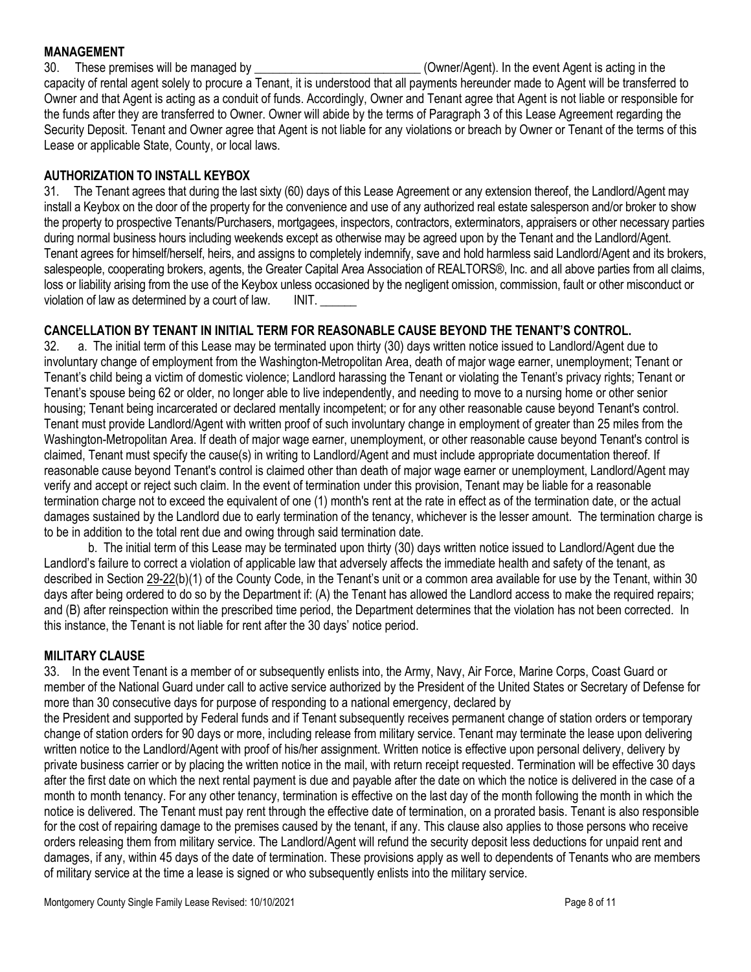#### **MANAGEMENT**

30. These premises will be managed by **\_\_\_\_\_\_\_\_\_\_\_\_\_\_\_\_\_\_\_\_\_\_\_\_\_\_\_** (Owner/Agent). In the event Agent is acting in the capacity of rental agent solely to procure a Tenant, it is understood that all payments hereunder made to Agent will be transferred to Owner and that Agent is acting as a conduit of funds. Accordingly, Owner and Tenant agree that Agent is not liable or responsible for the funds after they are transferred to Owner. Owner will abide by the terms of Paragraph 3 of this Lease Agreement regarding the Security Deposit. Tenant and Owner agree that Agent is not liable for any violations or breach by Owner or Tenant of the terms of this Lease or applicable State, County, or local laws.

# **AUTHORIZATION TO INSTALL KEYBOX**

31. The Tenant agrees that during the last sixty (60) days of this Lease Agreement or any extension thereof, the Landlord/Agent may install a Keybox on the door of the property for the convenience and use of any authorized real estate salesperson and/or broker to show the property to prospective Tenants/Purchasers, mortgagees, inspectors, contractors, exterminators, appraisers or other necessary parties during normal business hours including weekends except as otherwise may be agreed upon by the Tenant and the Landlord/Agent. Tenant agrees for himself/herself, heirs, and assigns to completely indemnify, save and hold harmless said Landlord/Agent and its brokers, salespeople, cooperating brokers, agents, the Greater Capital Area Association of REALTORS®, Inc. and all above parties from all claims, loss or liability arising from the use of the Keybox unless occasioned by the negligent omission, commission, fault or other misconduct or violation of law as determined by a court of law. INIT.

# **CANCELLATION BY TENANT IN INITIAL TERM FOR REASONABLE CAUSE BEYOND THE TENANT'S CONTROL.**

32. a. The initial term of this Lease may be terminated upon thirty (30) days written notice issued to Landlord/Agent due to involuntary change of employment from the Washington-Metropolitan Area, death of major wage earner, unemployment; Tenant or Tenant's child being a victim of domestic violence; Landlord harassing the Tenant or violating the Tenant's privacy rights; Tenant or Tenant's spouse being 62 or older, no longer able to live independently, and needing to move to a nursing home or other senior housing; Tenant being incarcerated or declared mentally incompetent; or for any other reasonable cause beyond Tenant's control. Tenant must provide Landlord/Agent with written proof of such involuntary change in employment of greater than 25 miles from the Washington-Metropolitan Area. If death of major wage earner, unemployment, or other reasonable cause beyond Tenant's control is claimed, Tenant must specify the cause(s) in writing to Landlord/Agent and must include appropriate documentation thereof. If reasonable cause beyond Tenant's control is claimed other than death of major wage earner or unemployment, Landlord/Agent may verify and accept or reject such claim. In the event of termination under this provision, Tenant may be liable for a reasonable termination charge not to exceed the equivalent of one (1) month's rent at the rate in effect as of the termination date, or the actual damages sustained by the Landlord due to early termination of the tenancy, whichever is the lesser amount. The termination charge is to be in addition to the total rent due and owing through said termination date.

b. The initial term of this Lease may be terminated upon thirty (30) days written notice issued to Landlord/Agent due the Landlord's failure to correct a violation of applicable law that adversely affects the immediate health and safety of the tenant, as described in Section [29-22\(](https://codelibrary.amlegal.com/codes/montgomerycounty/latest/montgomeryco_md/0-0-0-14774#JD_29-22)b)(1) of the County Code, in the Tenant's unit or a common area available for use by the Tenant, within 30 days after being ordered to do so by the Department if: (A) the Tenant has allowed the Landlord access to make the required repairs; and (B) after reinspection within the prescribed time period, the Department determines that the violation has not been corrected. In this instance, the Tenant is not liable for rent after the 30 days' notice period.

# **MILITARY CLAUSE**

33. In the event Tenant is a member of or subsequently enlists into, the Army, Navy, Air Force, Marine Corps, Coast Guard or member of the National Guard under call to active service authorized by the President of the United States or Secretary of Defense for more than 30 consecutive days for purpose of responding to a national emergency, declared by

the President and supported by Federal funds and if Tenant subsequently receives permanent change of station orders or temporary change of station orders for 90 days or more, including release from military service. Tenant may terminate the lease upon delivering written notice to the Landlord/Agent with proof of his/her assignment. Written notice is effective upon personal delivery, delivery by private business carrier or by placing the written notice in the mail, with return receipt requested. Termination will be effective 30 days after the first date on which the next rental payment is due and payable after the date on which the notice is delivered in the case of a month to month tenancy. For any other tenancy, termination is effective on the last day of the month following the month in which the notice is delivered. The Tenant must pay rent through the effective date of termination, on a prorated basis. Tenant is also responsible for the cost of repairing damage to the premises caused by the tenant, if any. This clause also applies to those persons who receive orders releasing them from military service. The Landlord/Agent will refund the security deposit less deductions for unpaid rent and damages, if any, within 45 days of the date of termination. These provisions apply as well to dependents of Tenants who are members of military service at the time a lease is signed or who subsequently enlists into the military service.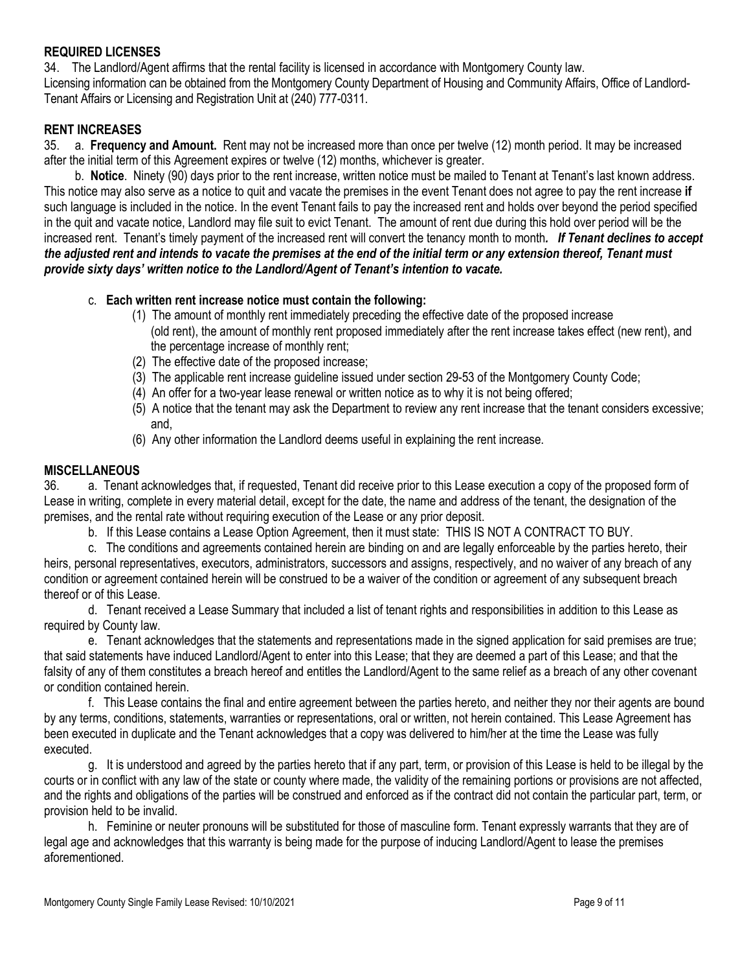#### **REQUIRED LICENSES**

34. The Landlord/Agent affirms that the rental facility is licensed in accordance with Montgomery County law. Licensing information can be obtained from the Montgomery County Department of Housing and Community Affairs, Office of Landlord-Tenant Affairs or Licensing and Registration Unit at (240) 777-0311.

#### **RENT INCREASES**

35. a. **Frequency and Amount.** Rent may not be increased more than once per twelve (12) month period. It may be increased after the initial term of this Agreement expires or twelve (12) months, whichever is greater.

 b. **Notice**. Ninety (90) days prior to the rent increase, written notice must be mailed to Tenant at Tenant's last known address. This notice may also serve as a notice to quit and vacate the premises in the event Tenant does not agree to pay the rent increase **if** such language is included in the notice. In the event Tenant fails to pay the increased rent and holds over beyond the period specified in the quit and vacate notice, Landlord may file suit to evict Tenant. The amount of rent due during this hold over period will be the increased rent. Tenant's timely payment of the increased rent will convert the tenancy month to month. If Tenant declines to accept *the adjusted rent and intends to vacate the premises at the end of the initial term or any extension thereof, Tenant must provide sixty days' written notice to the Landlord/Agent of Tenant's intention to vacate.*

#### c. **Each written rent increase notice must contain the following:**

- (1) The amount of monthly rent immediately preceding the effective date of the proposed increase (old rent), the amount of monthly rent proposed immediately after the rent increase takes effect (new rent), and the percentage increase of monthly rent;
- (2) The effective date of the proposed increase;
- (3) The applicable rent increase guideline issued under section 29-53 of the Montgomery County Code;
- (4) An offer for a two-year lease renewal or written notice as to why it is not being offered;
- (5) A notice that the tenant may ask the Department to review any rent increase that the tenant considers excessive; and,
- (6) Any other information the Landlord deems useful in explaining the rent increase.

#### **MISCELLANEOUS**

36. a. Tenant acknowledges that, if requested, Tenant did receive prior to this Lease execution a copy of the proposed form of Lease in writing, complete in every material detail, except for the date, the name and address of the tenant, the designation of the premises, and the rental rate without requiring execution of the Lease or any prior deposit.

b. If this Lease contains a Lease Option Agreement, then it must state: THIS IS NOT A CONTRACT TO BUY.

c. The conditions and agreements contained herein are binding on and are legally enforceable by the parties hereto, their heirs, personal representatives, executors, administrators, successors and assigns, respectively, and no waiver of any breach of any condition or agreement contained herein will be construed to be a waiver of the condition or agreement of any subsequent breach thereof or of this Lease.

d. Tenant received a Lease Summary that included a list of tenant rights and responsibilities in addition to this Lease as required by County law.

e. Tenant acknowledges that the statements and representations made in the signed application for said premises are true; that said statements have induced Landlord/Agent to enter into this Lease; that they are deemed a part of this Lease; and that the falsity of any of them constitutes a breach hereof and entitles the Landlord/Agent to the same relief as a breach of any other covenant or condition contained herein.

f. This Lease contains the final and entire agreement between the parties hereto, and neither they nor their agents are bound by any terms, conditions, statements, warranties or representations, oral or written, not herein contained. This Lease Agreement has been executed in duplicate and the Tenant acknowledges that a copy was delivered to him/her at the time the Lease was fully executed.

g. It is understood and agreed by the parties hereto that if any part, term, or provision of this Lease is held to be illegal by the courts or in conflict with any law of the state or county where made, the validity of the remaining portions or provisions are not affected, and the rights and obligations of the parties will be construed and enforced as if the contract did not contain the particular part, term, or provision held to be invalid.

h. Feminine or neuter pronouns will be substituted for those of masculine form. Tenant expressly warrants that they are of legal age and acknowledges that this warranty is being made for the purpose of inducing Landlord/Agent to lease the premises aforementioned.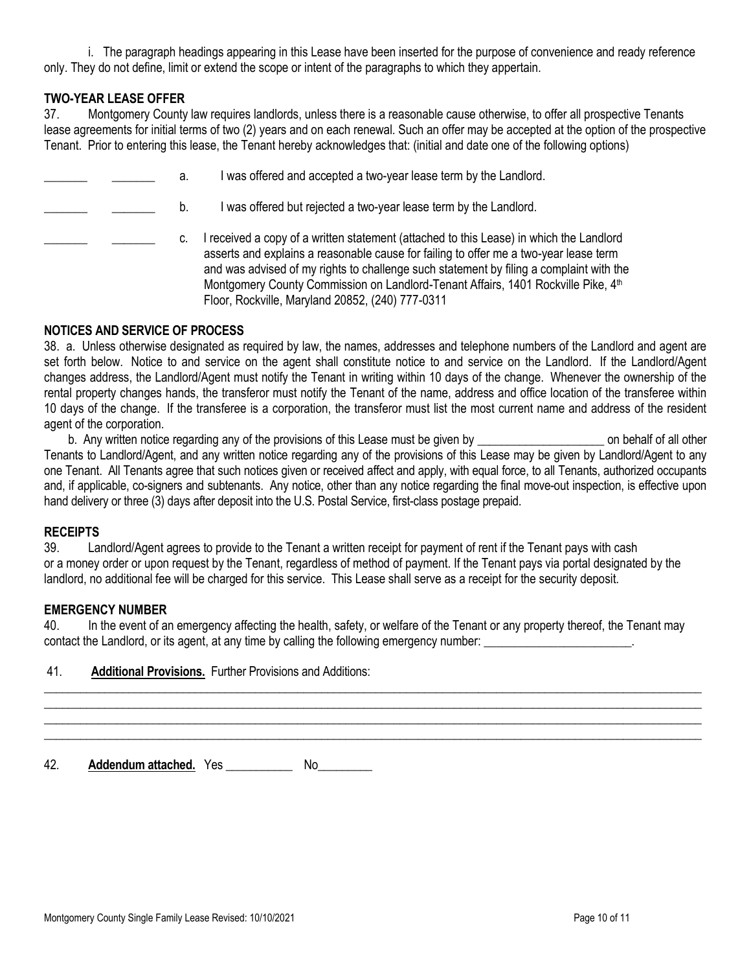i. The paragraph headings appearing in this Lease have been inserted for the purpose of convenience and ready reference only. They do not define, limit or extend the scope or intent of the paragraphs to which they appertain.

#### **TWO-YEAR LEASE OFFER**

37. Montgomery County law requires landlords, unless there is a reasonable cause otherwise, to offer all prospective Tenants lease agreements for initial terms of two (2) years and on each renewal. Such an offer may be accepted at the option of the prospective Tenant. Prior to entering this lease, the Tenant hereby acknowledges that: (initial and date one of the following options)

|  | а. | was offered and accepted a two-year lease term by the Landlord.                                                                                                                                                                                                                                                                                                                                                                |
|--|----|--------------------------------------------------------------------------------------------------------------------------------------------------------------------------------------------------------------------------------------------------------------------------------------------------------------------------------------------------------------------------------------------------------------------------------|
|  | b. | was offered but rejected a two-year lease term by the Landlord.                                                                                                                                                                                                                                                                                                                                                                |
|  | C. | received a copy of a written statement (attached to this Lease) in which the Landlord<br>asserts and explains a reasonable cause for failing to offer me a two-year lease term<br>and was advised of my rights to challenge such statement by filing a complaint with the<br>Montgomery County Commission on Landlord-Tenant Affairs, 1401 Rockville Pike, 4 <sup>th</sup><br>Floor, Rockville, Maryland 20852, (240) 777-0311 |

#### **NOTICES AND SERVICE OF PROCESS**

38. a. Unless otherwise designated as required by law, the names, addresses and telephone numbers of the Landlord and agent are set forth below. Notice to and service on the agent shall constitute notice to and service on the Landlord. If the Landlord/Agent changes address, the Landlord/Agent must notify the Tenant in writing within 10 days of the change. Whenever the ownership of the rental property changes hands, the transferor must notify the Tenant of the name, address and office location of the transferee within 10 days of the change. If the transferee is a corporation, the transferor must list the most current name and address of the resident agent of the corporation.

b. Any written notice regarding any of the provisions of this Lease must be given by **written** on behalf of all other Tenants to Landlord/Agent, and any written notice regarding any of the provisions of this Lease may be given by Landlord/Agent to any one Tenant. All Tenants agree that such notices given or received affect and apply, with equal force, to all Tenants, authorized occupants and, if applicable, co-signers and subtenants. Any notice, other than any notice regarding the final move-out inspection, is effective upon hand delivery or three (3) days after deposit into the U.S. Postal Service, first-class postage prepaid.

#### **RECEIPTS**

39. Landlord/Agent agrees to provide to the Tenant a written receipt for payment of rent if the Tenant pays with cash or a money order or upon request by the Tenant, regardless of method of payment. If the Tenant pays via portal designated by the landlord, no additional fee will be charged for this service. This Lease shall serve as a receipt for the security deposit.

#### **EMERGENCY NUMBER**

40. In the event of an emergency affecting the health, safety, or welfare of the Tenant or any property thereof, the Tenant may contact the Landlord, or its agent, at any time by calling the following emergency number:

\_\_\_\_\_\_\_\_\_\_\_\_\_\_\_\_\_\_\_\_\_\_\_\_\_\_\_\_\_\_\_\_\_\_\_\_\_\_\_\_\_\_\_\_\_\_\_\_\_\_\_\_\_\_\_\_\_\_\_\_\_\_\_\_\_\_\_\_\_\_\_\_\_\_\_\_\_\_\_\_\_\_\_\_\_\_\_\_\_\_\_\_\_\_\_\_\_\_\_\_\_\_\_\_\_\_\_\_\_ \_\_\_\_\_\_\_\_\_\_\_\_\_\_\_\_\_\_\_\_\_\_\_\_\_\_\_\_\_\_\_\_\_\_\_\_\_\_\_\_\_\_\_\_\_\_\_\_\_\_\_\_\_\_\_\_\_\_\_\_\_\_\_\_\_\_\_\_\_\_\_\_\_\_\_\_\_\_\_\_\_\_\_\_\_\_\_\_\_\_\_\_\_\_\_\_\_\_\_\_\_\_\_\_\_\_\_\_\_ \_\_\_\_\_\_\_\_\_\_\_\_\_\_\_\_\_\_\_\_\_\_\_\_\_\_\_\_\_\_\_\_\_\_\_\_\_\_\_\_\_\_\_\_\_\_\_\_\_\_\_\_\_\_\_\_\_\_\_\_\_\_\_\_\_\_\_\_\_\_\_\_\_\_\_\_\_\_\_\_\_\_\_\_\_\_\_\_\_\_\_\_\_\_\_\_\_\_\_\_\_\_\_\_\_\_\_\_\_ \_\_\_\_\_\_\_\_\_\_\_\_\_\_\_\_\_\_\_\_\_\_\_\_\_\_\_\_\_\_\_\_\_\_\_\_\_\_\_\_\_\_\_\_\_\_\_\_\_\_\_\_\_\_\_\_\_\_\_\_\_\_\_\_\_\_\_\_\_\_\_\_\_\_\_\_\_\_\_\_\_\_\_\_\_\_\_\_\_\_\_\_\_\_\_\_\_\_\_\_\_\_\_\_\_\_\_\_\_

| 41.<br><b>Additional Provisions.</b> Further Provisions and Additions: |
|------------------------------------------------------------------------|
|------------------------------------------------------------------------|

42. **Addendum attached.** Yes \_\_\_\_\_\_\_\_\_\_\_ No\_\_\_\_\_\_\_\_\_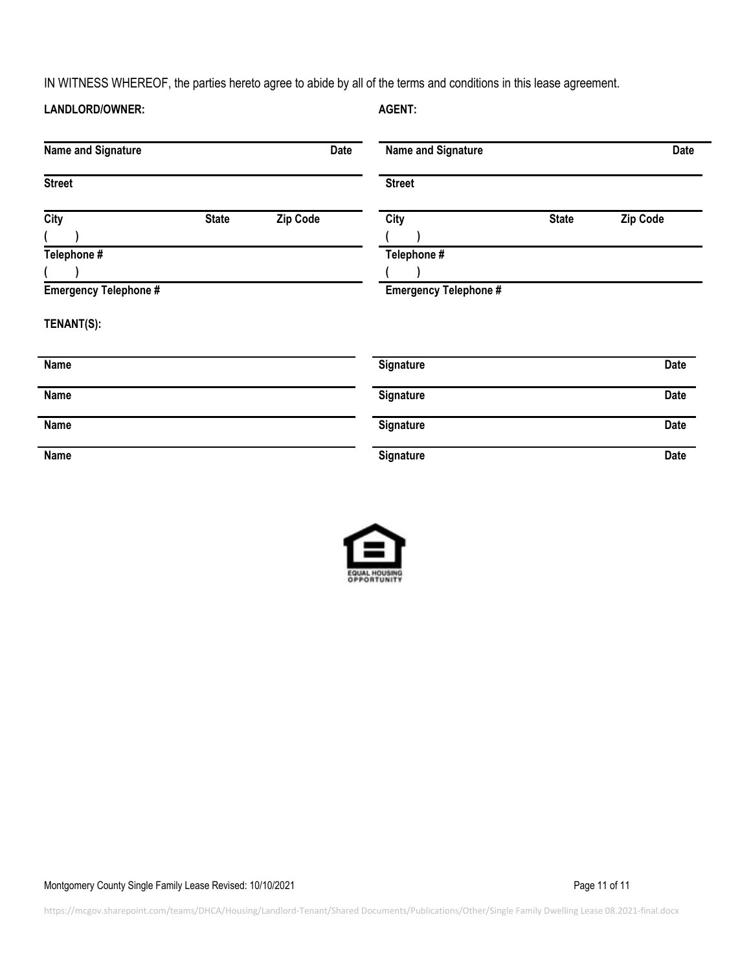IN WITNESS WHEREOF, the parties hereto agree to abide by all of the terms and conditions in this lease agreement.

| LANDLORD/OWNER:                                                          |              |                 | <b>AGENT:</b>                                       |              |             |
|--------------------------------------------------------------------------|--------------|-----------------|-----------------------------------------------------|--------------|-------------|
| <b>Name and Signature</b>                                                |              | <b>Date</b>     | Name and Signature                                  |              | <b>Date</b> |
| <b>Street</b>                                                            |              |                 | <b>Street</b>                                       |              |             |
| <b>City</b><br>Telephone #<br><b>Emergency Telephone #</b><br>TENANT(S): | <b>State</b> | <b>Zip Code</b> | City<br>Telephone #<br><b>Emergency Telephone #</b> | <b>State</b> | Zip Code    |
| Name                                                                     |              |                 | Signature                                           |              | Date        |
| Name                                                                     |              |                 | Signature                                           |              | Date        |
| Name                                                                     |              |                 | Signature                                           |              | <b>Date</b> |
| Name                                                                     |              |                 | Signature                                           |              | Date        |



Montgomery County Single Family Lease Revised: 10/10/2021 Company of the Country County Single 11 of 11